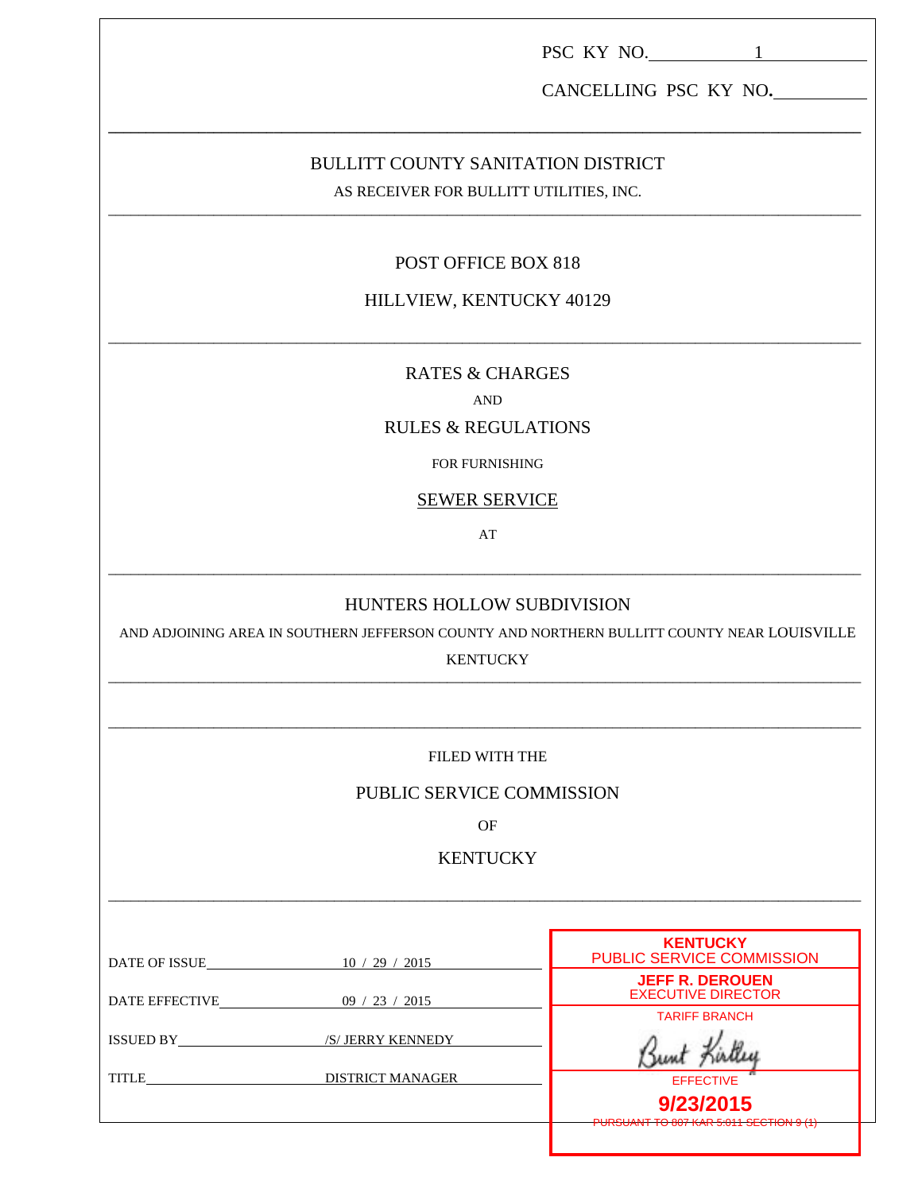|                                                                                      |                                                                                                                                              | PSC KY NO. 1                                        |  |
|--------------------------------------------------------------------------------------|----------------------------------------------------------------------------------------------------------------------------------------------|-----------------------------------------------------|--|
| CANCELLING PSC KY NO.                                                                |                                                                                                                                              |                                                     |  |
| <b>BULLITT COUNTY SANITATION DISTRICT</b><br>AS RECEIVER FOR BULLITT UTILITIES, INC. |                                                                                                                                              |                                                     |  |
|                                                                                      | POST OFFICE BOX 818                                                                                                                          |                                                     |  |
|                                                                                      | HILLVIEW, KENTUCKY 40129                                                                                                                     |                                                     |  |
|                                                                                      | <b>RATES &amp; CHARGES</b>                                                                                                                   |                                                     |  |
|                                                                                      | <b>AND</b><br><b>RULES &amp; REGULATIONS</b>                                                                                                 |                                                     |  |
|                                                                                      | FOR FURNISHING                                                                                                                               |                                                     |  |
|                                                                                      | <b>SEWER SERVICE</b>                                                                                                                         |                                                     |  |
|                                                                                      | AT                                                                                                                                           |                                                     |  |
|                                                                                      | HUNTERS HOLLOW SUBDIVISION<br>AND ADJOINING AREA IN SOUTHERN JEFFERSON COUNTY AND NORTHERN BULLITT COUNTY NEAR LOUISVILLE<br><b>KENTUCKY</b> |                                                     |  |
|                                                                                      | FILED WITH THE                                                                                                                               |                                                     |  |
| PUBLIC SERVICE COMMISSION                                                            |                                                                                                                                              |                                                     |  |
|                                                                                      | <b>OF</b>                                                                                                                                    |                                                     |  |
| <b>KENTUCKY</b>                                                                      |                                                                                                                                              |                                                     |  |
|                                                                                      |                                                                                                                                              |                                                     |  |
| DATE OF ISSUE 10 / 29 / 2015                                                         |                                                                                                                                              | <b>KENTUCKY</b><br>PUBLIC SERVICE COMMISSION        |  |
| DATE EFFECTIVE 09 / 23 / 2015                                                        |                                                                                                                                              | <b>JEFF R. DEROUEN</b><br><b>EXECUTIVE DIRECTOR</b> |  |
|                                                                                      |                                                                                                                                              | <b>TARIFF BRANCH</b>                                |  |
|                                                                                      |                                                                                                                                              | <b>EFFECTIVE</b><br>9/23/2015                       |  |
|                                                                                      |                                                                                                                                              |                                                     |  |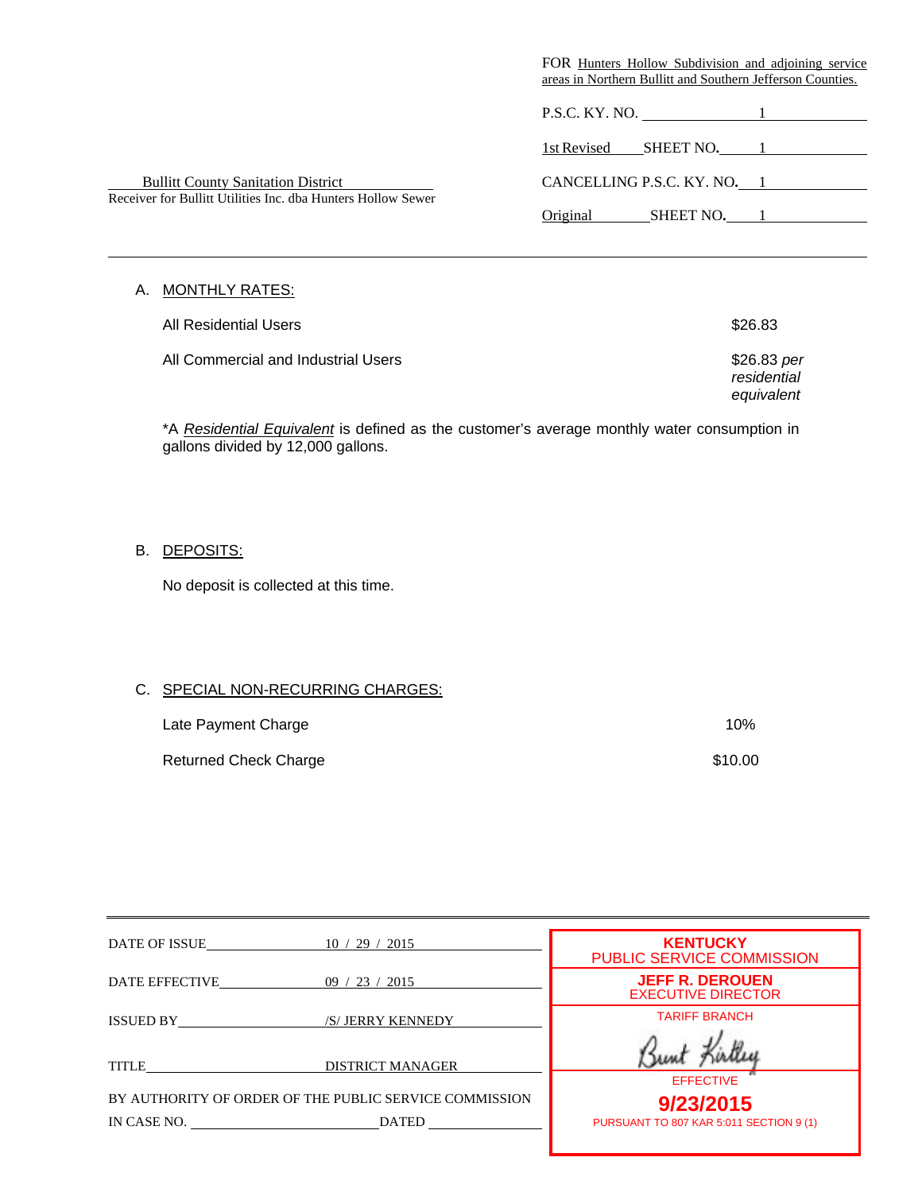|                                                              | FOR Hunters Hollow Subdivision and adjoining service<br>areas in Northern Bullitt and Southern Jefferson Counties. |
|--------------------------------------------------------------|--------------------------------------------------------------------------------------------------------------------|
|                                                              | P.S.C. KY. NO.                                                                                                     |
|                                                              | 1st Revised<br>SHEET NO.                                                                                           |
| <b>Bullitt County Sanitation District</b>                    | CANCELLING P.S.C. KY. NO. 1                                                                                        |
| Receiver for Bullitt Utilities Inc. dba Hunters Hollow Sewer | Original<br>SHEET NO.                                                                                              |

# A. MONTHLY RATES:

l

| All Residential Users_              | \$26.83                    |
|-------------------------------------|----------------------------|
| All Commercial and Industrial Users | \$26.83 per<br>rosidontial |

*residential equivalent*

\*A *Residential Equivalent* is defined as the customer's average monthly water consumption in gallons divided by 12,000 gallons.

B. DEPOSITS:

No deposit is collected at this time.

# C. SPECIAL NON-RECURRING CHARGES:

| Late Payment Charge          | 10%     |
|------------------------------|---------|
| <b>Returned Check Charge</b> | \$10.00 |

| DATE OF ISSUE  | 10/29/2015                                             | <b>KENTUCKY</b><br><b>PUBLIC SERVICE COMMISSION</b> |
|----------------|--------------------------------------------------------|-----------------------------------------------------|
| DATE EFFECTIVE | 09 / 23 / 2015                                         | <b>JEFF R. DEROUEN</b><br><b>EXECUTIVE DIRECTOR</b> |
| ISSUED BY      | /S/ JERRY KENNEDY                                      | <b>TARIFF BRANCH</b>                                |
| <b>TITLE</b>   | <b>DISTRICT MANAGER</b>                                |                                                     |
|                |                                                        | <b>EFFECTIVE</b>                                    |
|                | BY AUTHORITY OF ORDER OF THE PUBLIC SERVICE COMMISSION | 9/23/2015                                           |
| IN CASE NO.    | <b>DATED</b>                                           | PURSUANT TO 807 KAR 5:011 SECTION 9 (1)             |
|                |                                                        |                                                     |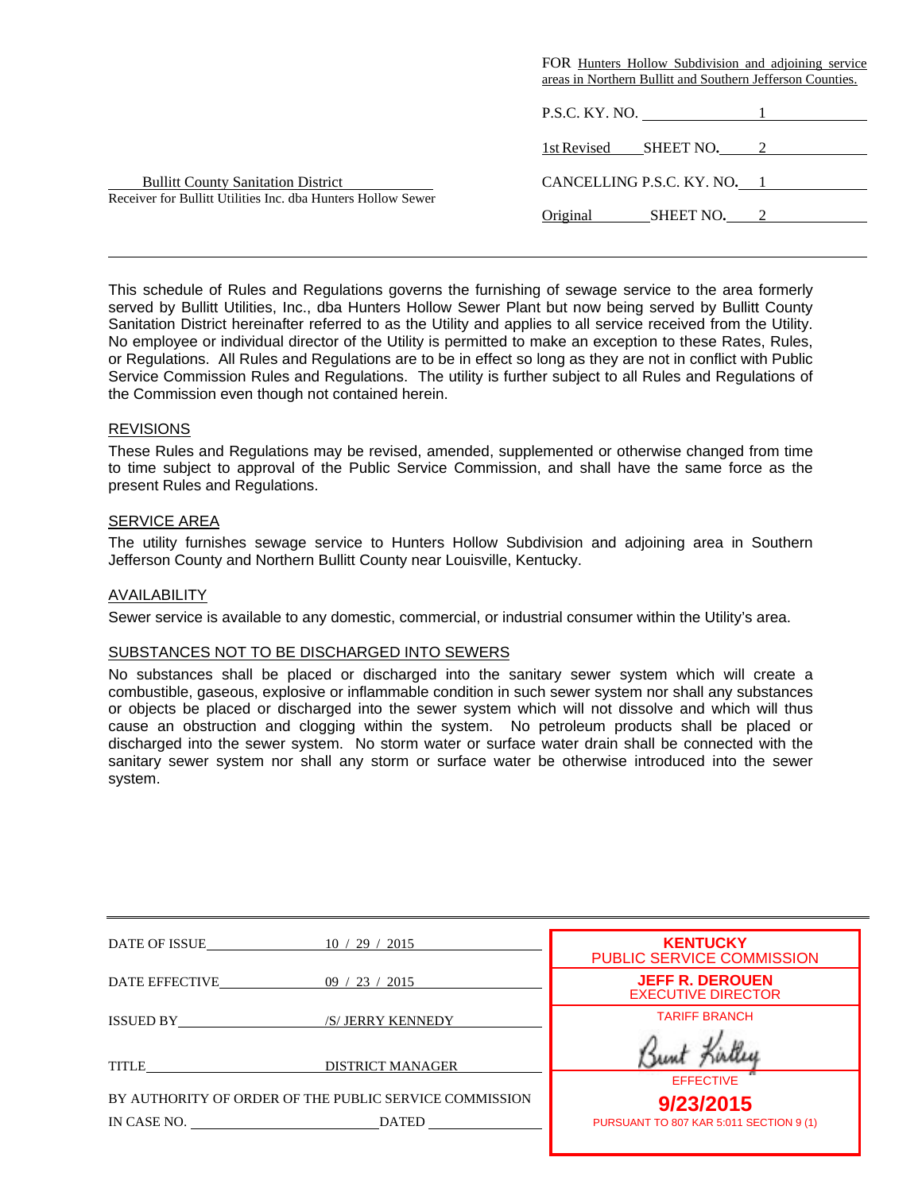|                                                                                                           | FOR Hunters Hollow Subdivision and adjoining service       |
|-----------------------------------------------------------------------------------------------------------|------------------------------------------------------------|
|                                                                                                           | areas in Northern Bullitt and Southern Jefferson Counties. |
|                                                                                                           | P.S.C. KY. NO. 1                                           |
|                                                                                                           | SHEET NO. 2<br>1st Revised                                 |
|                                                                                                           |                                                            |
| <b>Bullitt County Sanitation District</b><br>Receiver for Bullitt Utilities Inc. dba Hunters Hollow Sewer | CANCELLING P.S.C. KY. NO. 1                                |
|                                                                                                           | Original<br>SHEET NO.                                      |
|                                                                                                           |                                                            |

This schedule of Rules and Regulations governs the furnishing of sewage service to the area formerly served by Bullitt Utilities, Inc., dba Hunters Hollow Sewer Plant but now being served by Bullitt County Sanitation District hereinafter referred to as the Utility and applies to all service received from the Utility. No employee or individual director of the Utility is permitted to make an exception to these Rates, Rules, or Regulations. All Rules and Regulations are to be in effect so long as they are not in conflict with Public Service Commission Rules and Regulations. The utility is further subject to all Rules and Regulations of the Commission even though not contained herein.

## **REVISIONS**

l

These Rules and Regulations may be revised, amended, supplemented or otherwise changed from time to time subject to approval of the Public Service Commission, and shall have the same force as the present Rules and Regulations.

## SERVICE AREA

The utility furnishes sewage service to Hunters Hollow Subdivision and adjoining area in Southern Jefferson County and Northern Bullitt County near Louisville, Kentucky.

## AVAILABILITY

Sewer service is available to any domestic, commercial, or industrial consumer within the Utility's area.

## SUBSTANCES NOT TO BE DISCHARGED INTO SEWERS

No substances shall be placed or discharged into the sanitary sewer system which will create a combustible, gaseous, explosive or inflammable condition in such sewer system nor shall any substances or objects be placed or discharged into the sewer system which will not dissolve and which will thus cause an obstruction and clogging within the system. No petroleum products shall be placed or discharged into the sewer system. No storm water or surface water drain shall be connected with the sanitary sewer system nor shall any storm or surface water be otherwise introduced into the sewer system.

| DATE OF ISSUE                                          | 10 / 29 / 2015          | <b>KENTUCKY</b><br><b>PUBLIC SERVICE COMMISSION</b> |
|--------------------------------------------------------|-------------------------|-----------------------------------------------------|
| DATE EFFECTIVE                                         | 23/2015<br>09/          | <b>JEFF R. DEROUEN</b><br><b>EXECUTIVE DIRECTOR</b> |
| ISSUED BY                                              | /S/ JERRY KENNEDY       | <b>TARIFF BRANCH</b>                                |
| <b>TITLE</b>                                           | <b>DISTRICT MANAGER</b> | <b>EFFECTIVE</b>                                    |
| BY AUTHORITY OF ORDER OF THE PUBLIC SERVICE COMMISSION |                         | 9/23/2015                                           |
| IN CASE NO. DATED                                      |                         | PURSUANT TO 807 KAR 5:011 SECTION 9 (1)             |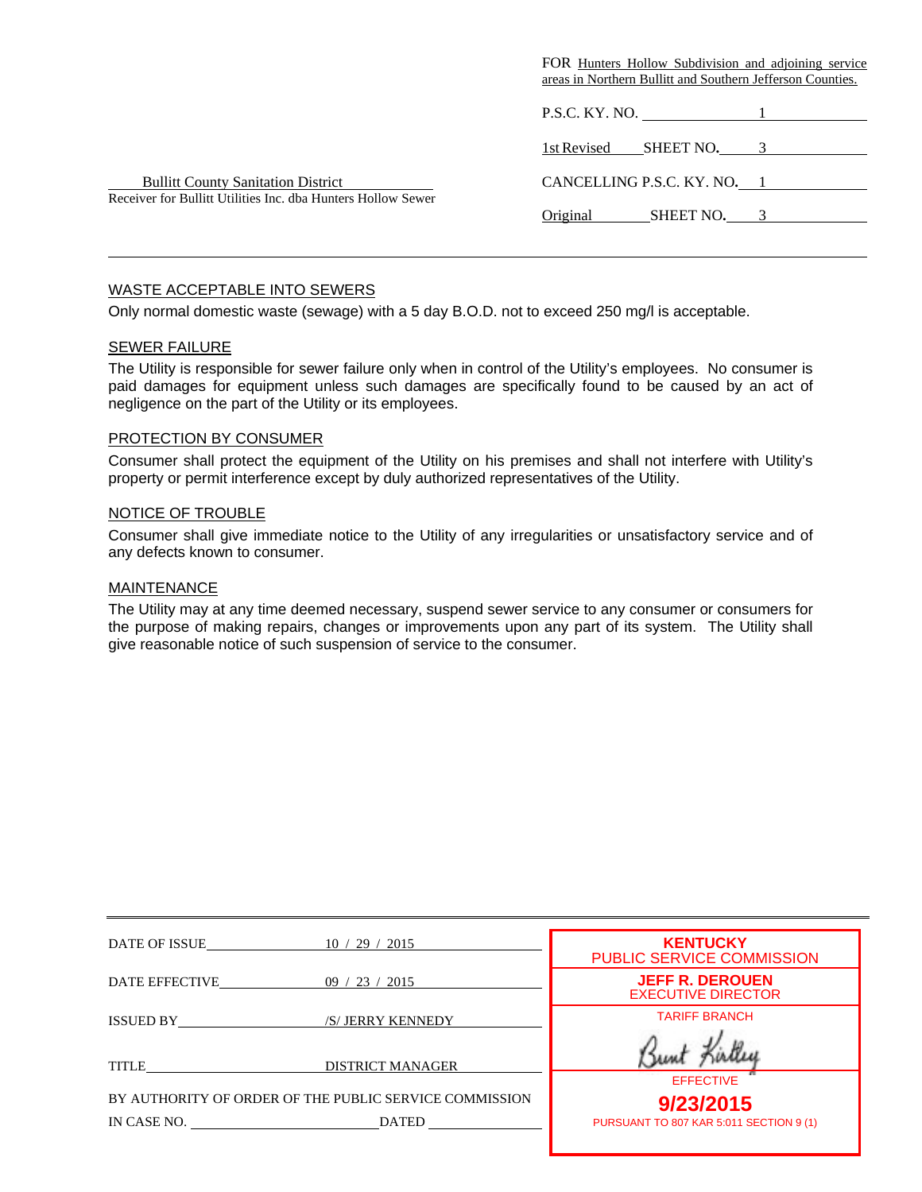|                                                              | FOR Hunters Hollow Subdivision and adjoining service<br>areas in Northern Bullitt and Southern Jefferson Counties. |
|--------------------------------------------------------------|--------------------------------------------------------------------------------------------------------------------|
|                                                              | P.S.C. KY. NO. $\qquad \qquad 1$                                                                                   |
|                                                              | 1st Revised<br>SHEET NO. 3                                                                                         |
| <b>Bullitt County Sanitation District</b>                    | CANCELLING P.S.C. KY. NO. 1                                                                                        |
| Receiver for Bullitt Utilities Inc. dba Hunters Hollow Sewer | Original<br>SHEET NO.                                                                                              |

## WASTE ACCEPTABLE INTO SEWERS

Only normal domestic waste (sewage) with a 5 day B.O.D. not to exceed 250 mg/l is acceptable.

### SEWER FAILURE

l

The Utility is responsible for sewer failure only when in control of the Utility's employees. No consumer is paid damages for equipment unless such damages are specifically found to be caused by an act of negligence on the part of the Utility or its employees.

## PROTECTION BY CONSUMER

Consumer shall protect the equipment of the Utility on his premises and shall not interfere with Utility's property or permit interference except by duly authorized representatives of the Utility.

#### NOTICE OF TROUBLE

Consumer shall give immediate notice to the Utility of any irregularities or unsatisfactory service and of any defects known to consumer.

#### MAINTENANCE

The Utility may at any time deemed necessary, suspend sewer service to any consumer or consumers for the purpose of making repairs, changes or improvements upon any part of its system. The Utility shall give reasonable notice of such suspension of service to the consumer.

| DATE OF ISSUE  | 10/29/2015                                             | <b>KENTUCKY</b><br>PUBLIC SERVICE COMMISSION        |
|----------------|--------------------------------------------------------|-----------------------------------------------------|
| DATE EFFECTIVE | 09 / 23 / 2015                                         | <b>JEFF R. DEROUEN</b><br><b>EXECUTIVE DIRECTOR</b> |
| ISSUED BY      | /S/ JERRY KENNEDY                                      | <b>TARIFF BRANCH</b>                                |
| <b>TITLE</b>   | <b>DISTRICT MANAGER</b>                                | <b>EFFECTIVE</b>                                    |
|                | BY AUTHORITY OF ORDER OF THE PUBLIC SERVICE COMMISSION | 9/23/2015                                           |
| IN CASE NO.    | <b>DATED</b>                                           | PURSUANT TO 807 KAR 5:011 SECTION 9 (1)             |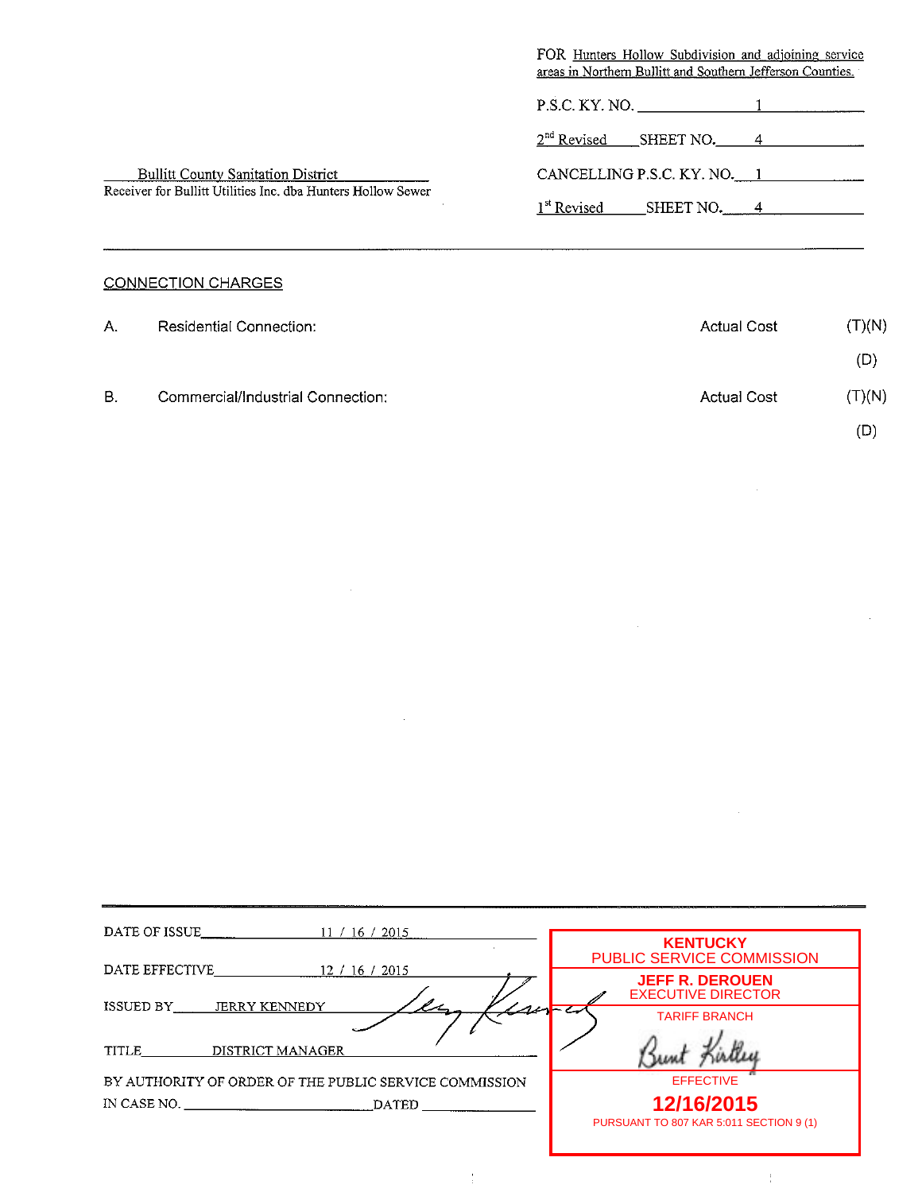|                                                              | FOR Hunters Hollow Subdivision and adjoining service<br>areas in Northern Bullitt and Southern Jefferson Counties. |  |
|--------------------------------------------------------------|--------------------------------------------------------------------------------------------------------------------|--|
|                                                              | $P.S.C. KY. NO.$ 1                                                                                                 |  |
|                                                              | $2nd$ Revised SHEET NO. 4                                                                                          |  |
| <b>Bullitt County Sanitation District</b>                    | CANCELLING P.S.C. KY. NO. 1                                                                                        |  |
| Receiver for Bullitt Utilities Inc. dba Hunters Hollow Sewer | 1 <sup>st</sup> Revised<br>SHEET NO. $4$                                                                           |  |
|                                                              |                                                                                                                    |  |

# CONNECTION CHARGES

| А. | Residential Connection:           | <b>Actual Cost</b> | (T)(N) |
|----|-----------------------------------|--------------------|--------|
|    |                                   |                    | (D)    |
| В. | Commercial/Industrial Connection: | <b>Actual Cost</b> | (T)(N) |
|    |                                   |                    | (D)    |

 $\sim$   $\sim$ 

 $\sim$ 

 $\bar{z}$ 

 $\frac{1}{4}$ 

 $\hat{\mathcal{A}}$ 

| DATE OF ISSUE<br>16/2015<br>11/                        |                                                       |
|--------------------------------------------------------|-------------------------------------------------------|
| DATE EFFECTIVE<br>12 / 16 / 2015                       | <b>KENTUCKY</b><br>PUBLIC SERVICE COMMISSION          |
| <b>JERRY KENNEDY</b><br>ISSUED BY                      | <b>JEFF R. DEROUEN</b><br><b>EXECUTIVE DIRECTOR</b>   |
|                                                        | <b>TARIFF BRANCH</b>                                  |
| DISTRICT MANAGER<br>TITLE                              |                                                       |
| BY AUTHORITY OF ORDER OF THE PUBLIC SERVICE COMMISSION | <b>EFFECTIVE</b>                                      |
| IN CASE NO.<br><b>DATED</b>                            | 12/16/2015<br>PURSUANT TO 807 KAR 5:011 SECTION 9 (1) |